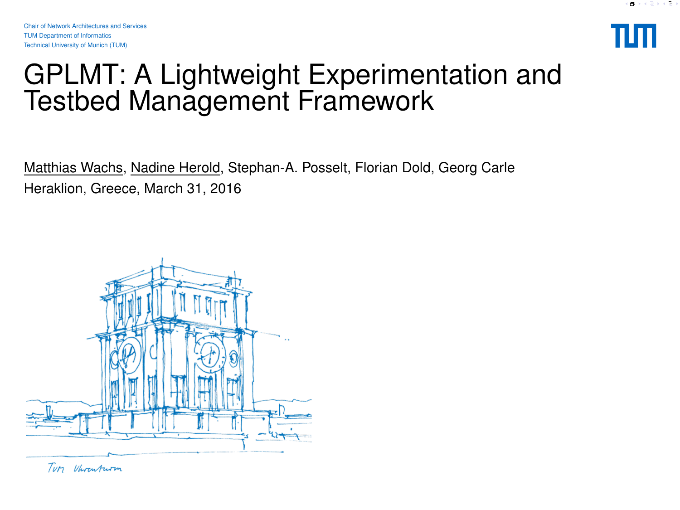

### <span id="page-0-0"></span>GPLMT: A Lightweight Experimentation and Testbed Management Framework

Matthias Wachs, Nadine Herold, Stephan-A. Posselt, Florian Dold, Georg Carle Heraklion, Greece, March 31, 2016



Tury Vhrenturm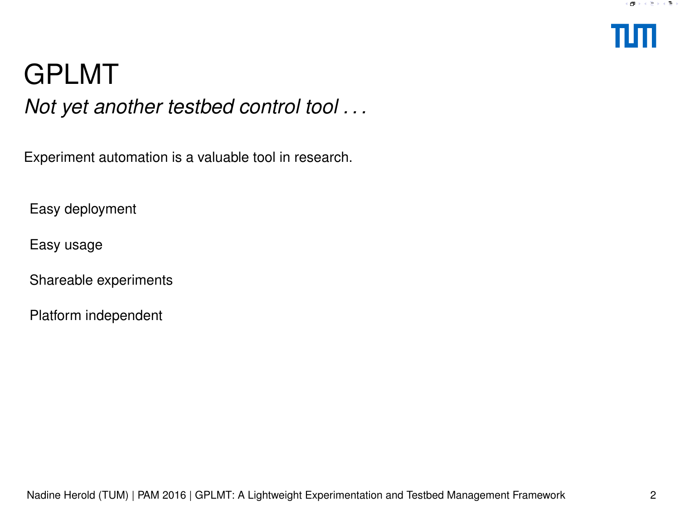

# GPLMT

*Not yet another testbed control tool . . .*

Experiment automation is a valuable tool in research.

Easy deployment

Easy usage

Shareable experiments

Platform independent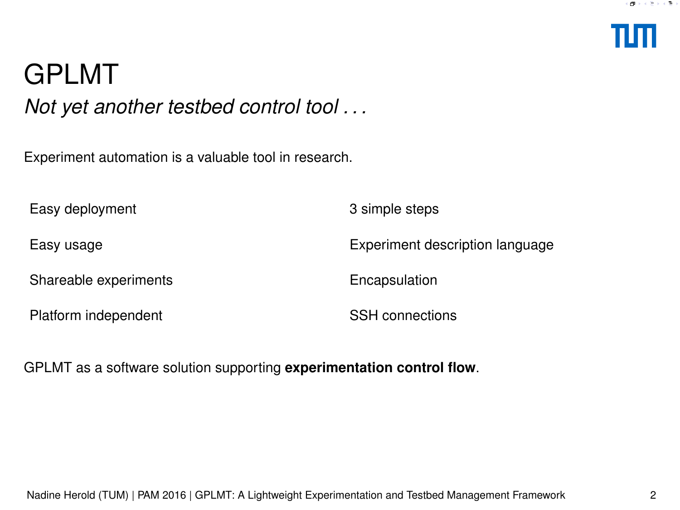

# <span id="page-2-0"></span>GPLMT

*Not yet another testbed control tool . . .*

Experiment automation is a valuable tool in research.

Easy deployment 3 simple steps Easy usage Experiment description language Shareable experiments Encapsulation Platform independent SSH connections

GPLMT as a software solution supporting **experimentation control flow**.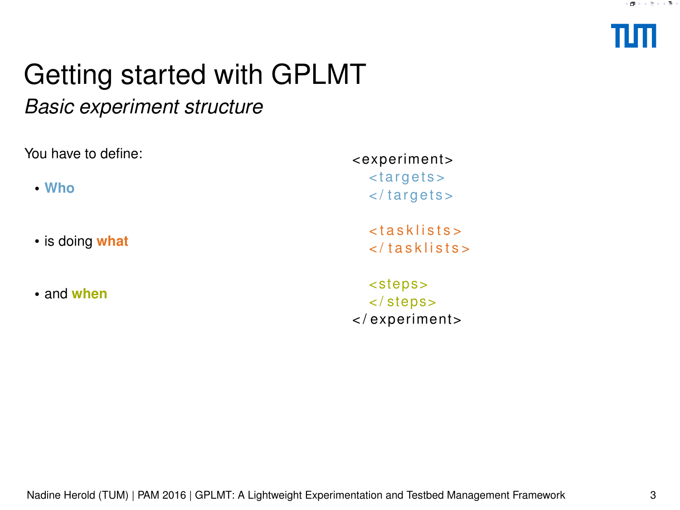

### <span id="page-3-0"></span>*Basic experiment structure*

| You have to define: | <experiment></experiment>                                                                  |
|---------------------|--------------------------------------------------------------------------------------------|
| $\cdot$ Who         | <targets><br/><math>\langle \rangle</math> targets <math>&gt;</math></targets>             |
| • is doing what     | <tasklists><br/><math>\langle</math> tasklists&gt;</tasklists>                             |
| • and when          | <steps><br/><math>\langle</math> steps&gt;<br/><math>\langle</math>/experiment&gt;</steps> |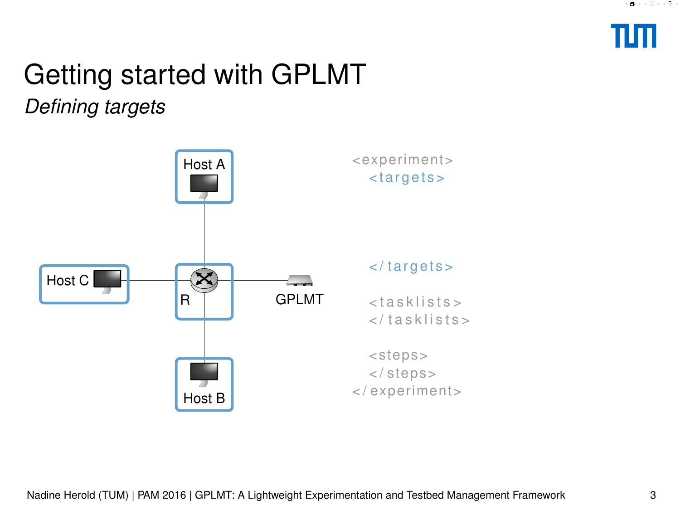

*Defining targets*

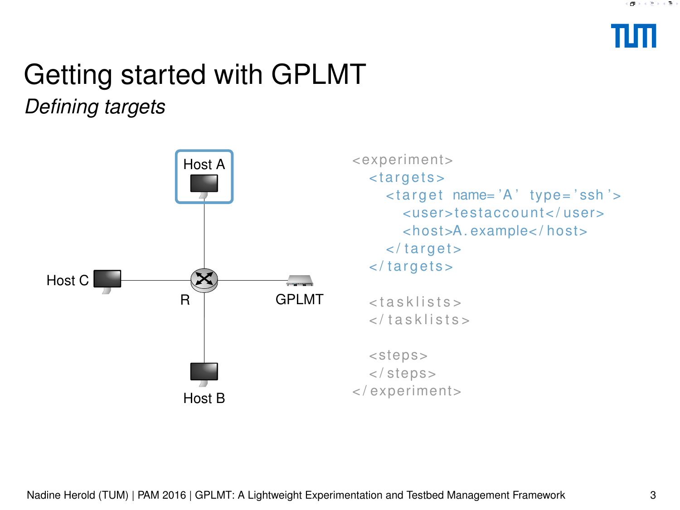

*Defining targets*

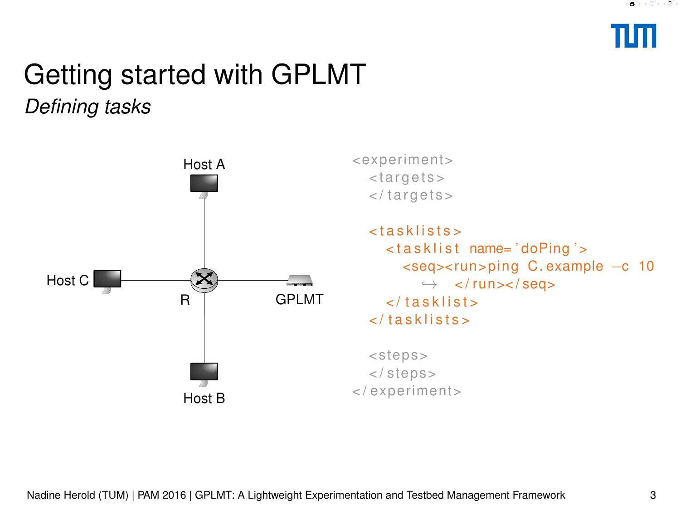

### Getting started with GPLMT *Defining tasks*

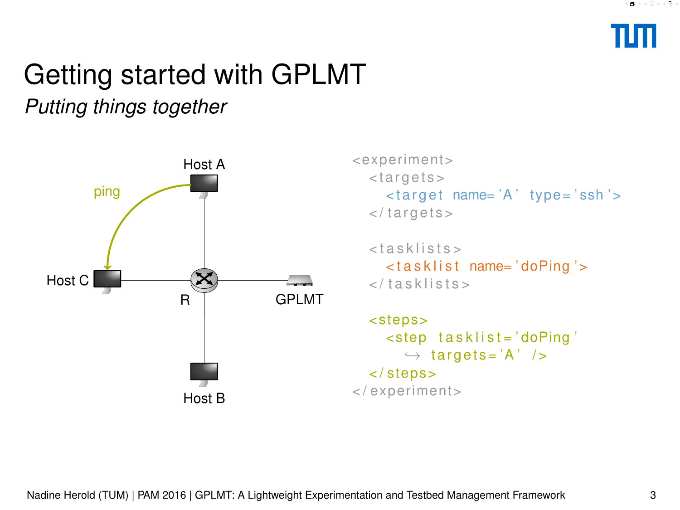

<span id="page-7-0"></span>*Putting things together*



```
\Gamma<br>\leq experiment>
< t a r g e t s >
  \langle -target name= \langle A' \rangle type= \langle ssh \rangle >
\langle targets>
```

```
< tasklists >
  < t a s k l i s t name= ' doPing ' >
\langle tasklists>
```

```
< step s>
      < step t a s k l i s t = ' doPing '
         \leftrightarrow targets='A' />
   < / step s>
< / expe riment>
```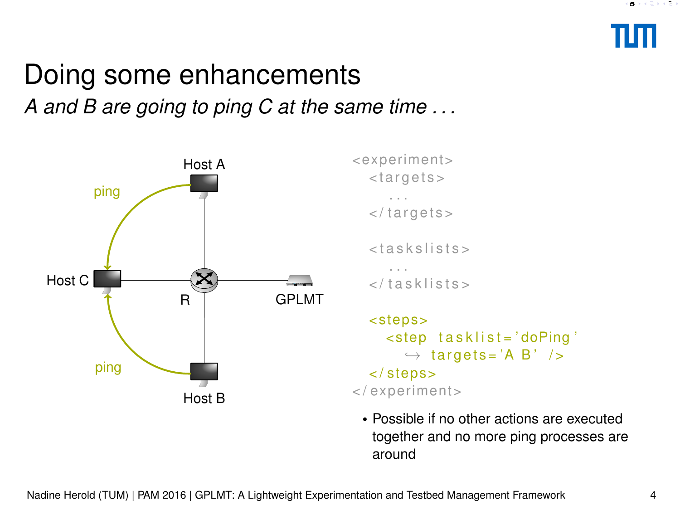### <span id="page-8-0"></span>Doing some enhancements *A and B are going to ping C at the same time . . .*





• Possible if no other actions are executed together and no more ping processes are around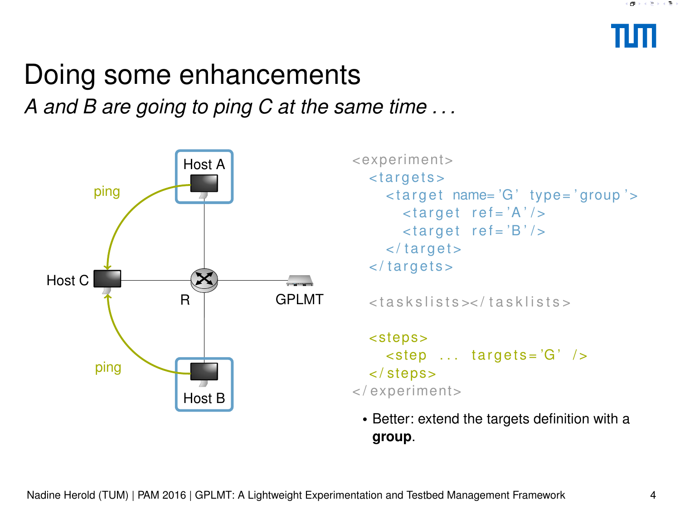## Doing some enhancements

*A and B are going to ping C at the same time . . .*



```
<expe riment>
   < t a r g e t s >
      \langle -target name= 'G' type= 'group' >
         \langle target \rangle ref='A' />
         \langle target \space ref = 'B' \rangle\langle target >
   \langle targets >
  < t a s k s lists > < t a s k lists >
   < step s>
      \ltstep ... targets='G' />
   < / step s>
< / expe riment>
```
• Better: extend the targets definition with a **group**.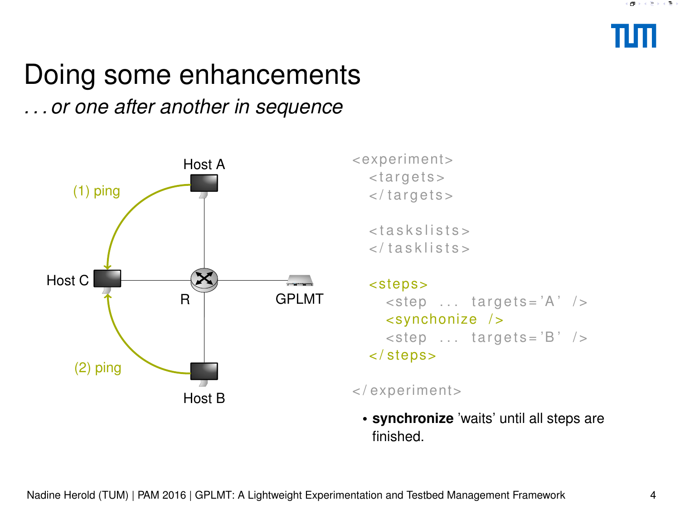

### <span id="page-10-0"></span>Doing some enhancements

*. . . or one after another in sequence*



<expe riment> < t a r g e t s >  $\langle$  targets >

> $<$  t a s k s lists  $>$  $\langle$  tasklists>

< step s>

 $\lt$ step ... targets='A' /> <synchonize / >  $\lt$ step ... targets='B' />  $\langle$  steps $>$ 

< / expe riment>

• **synchronize** 'waits' until all steps are finished.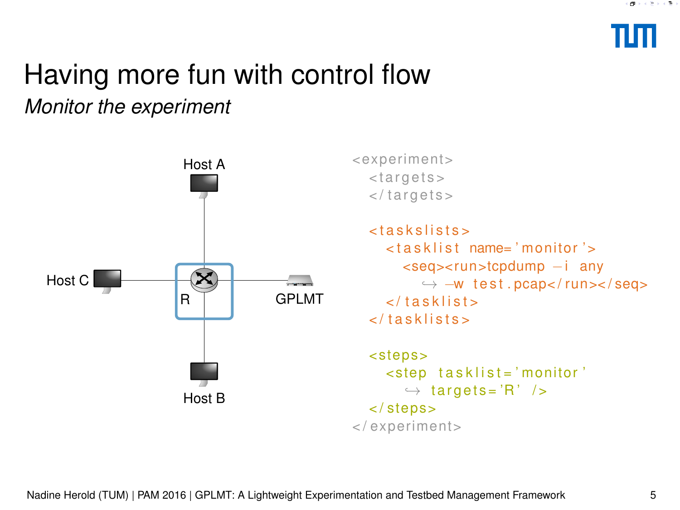

# <span id="page-11-0"></span>Having more fun with control flow

*Monitor the experiment*

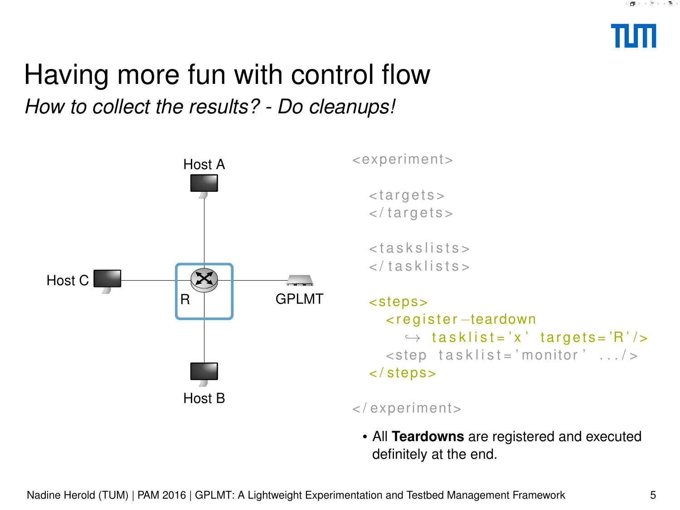

# Having more fun with control flow Ol flow<br>
Sexperiment>

*How to collect the results? - Do cleanups!*



< t a r g e t s >  $\langle$  targets >

 $<$  taskslists  $>$  $\langle$  tasklists>

```
< step s>
  < r e g i s t e r −teardown
     \rightarrow tasklist='x' targets='R'/>
  \lestep tasklist = 'monitor' \dots />
< / step s>
```
< / expe riment>

• All **Teardowns** are registered and executed definitely at the end.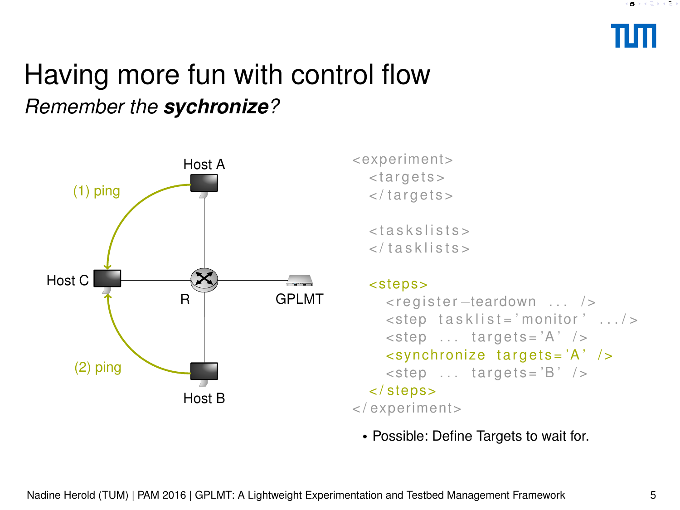

### Having more fun with control flow *Remember the sychronize?*



<expe riment> < t a r g e t s >  $\langle$  targets >

> $<$  t a s  $k$  s  $l$  is t s  $>$  $\langle$  tasklists>

### < step s>

```
<register-teardown ... />
    <step tasklist='monitor' .../>
    \lestep ... targets='A' />
    \lesynchronize targets='A' />
    \ltstep ... targets='B' />
  < / step s>
< / expe riment>
```
• Possible: Define Targets to wait for.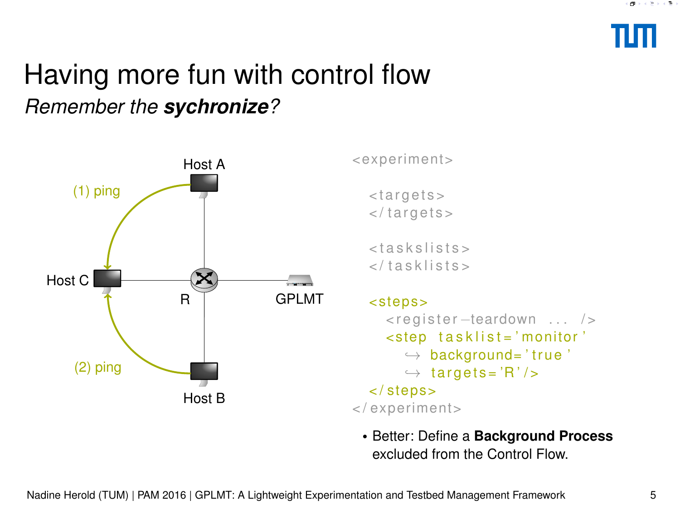

### Having more fun with control flow *Remember the sychronize?*



<expe riment>

< t a r g e t s >  $\langle$  targets>

 $<$  t a s  $k$  s  $l$  is t s  $>$  $\langle$  tasklists>

```
< step s>
     <register –teardown ... />
     <step tasklist='monitor'
        \rightarrow background='true'
        \leftrightarrow targets = 'R' />
  < / step s>
< / expe riment>
```
• Better: Define a **Background Process** excluded from the Control Flow.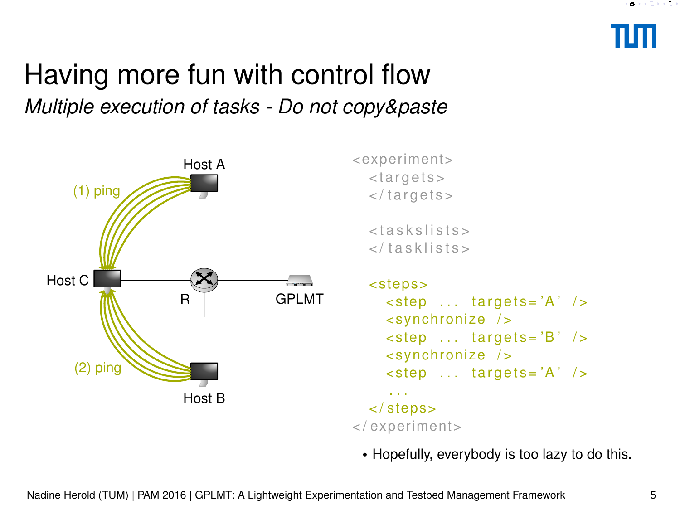

### Having more fun with control flow *Multiple execution of tasks - Do not copy&paste*



<expe riment> < t a r g e t s >  $\langle$  targets >  $<$  taskslists >  $\langle$  tasklists> < step s>  $\lt$ step ... targets='A' />  $\le$ synchronize />  $\lt$ step ... targets='B' /> <synchronize />  $\lt$ step ... targets='A' />

### < / step s> < / expe riment>

. . .

• Hopefully, everybody is too lazy to do this.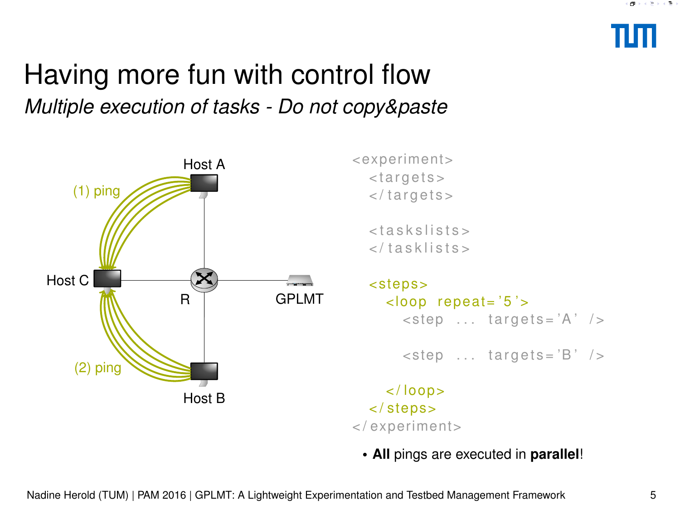

### Having more fun with control flow *Multiple execution of tasks - Do not copy&paste*



<expe riment> < t a r g e t s >  $\langle$  targets >

> $<$  taskslists >  $\langle$  tasklists>

< step s>  $<$ loop repeat = '5' >  $\lt$ step ... targets='A' />

 $\lt$ step ... targets='B' />

 $\langle$  /  $\vert$  00  $\rho$   $>$ < / step s> < / expe riment>

• **All** pings are executed in **parallel**!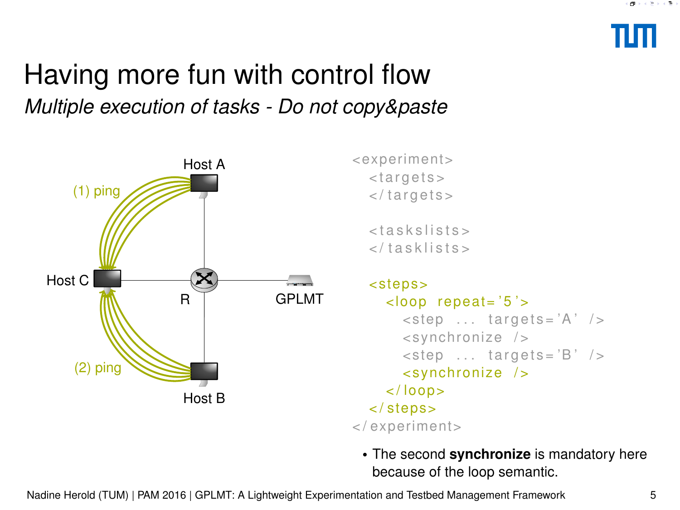

### <span id="page-17-0"></span>Having more fun with control flow *Multiple execution of tasks - Do not copy&paste*



<expe riment> < t a r g e t s > </targets>

> $<$  taskslists  $>$  $\langle$  tasklists>

< step s>  $<$ loop repeat= $'5$ '>  $\lt$ step ... targets='A' />  $\le$ synchronize />  $\lt$ step ... targets='B' /> <synchronize />  $\langle$  /  $\vert$  00p  $>$ < / step s> < / expe riment>

• The second **synchronize** is mandatory here because of the loop semantic.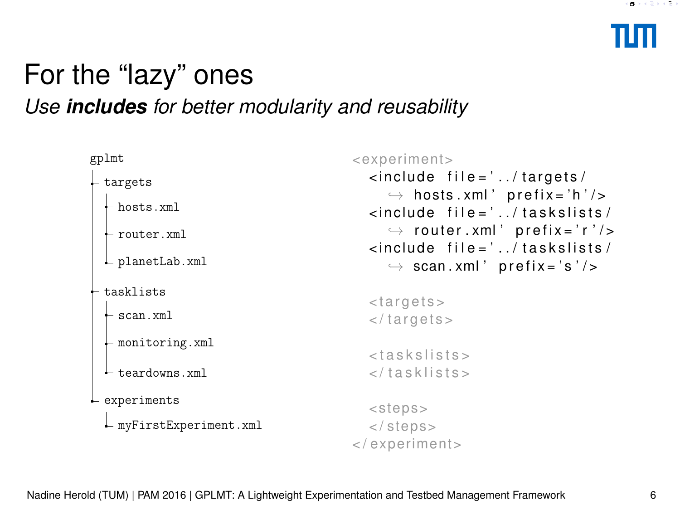### <span id="page-18-0"></span>For the "lazy" ones *Use includes for better modularity and reusability*

| gplmt                             | <experiment></experiment>                                                                                                                                                                                                                                                                             |
|-----------------------------------|-------------------------------------------------------------------------------------------------------------------------------------------------------------------------------------------------------------------------------------------------------------------------------------------------------|
| $-$ targets                       | $\langle$ include file = $\langle \cdot \rangle$ . $\langle$ targets $\langle$<br>$\rightarrow$ hosts.xml' prefix='h'/><br>$\langle$ include file = $\langle$ / taskslists/<br>$\rightarrow$ router.xml' prefix='r'/><br>$\langle$ include file='/taskslists/<br>$\rightarrow$ scan.xml' prefix='s'/> |
| $-$ hosts.xml                     |                                                                                                                                                                                                                                                                                                       |
| $\vdash$ router.xml               |                                                                                                                                                                                                                                                                                                       |
| $\vdash$ planetLab. xml           |                                                                                                                                                                                                                                                                                                       |
| tasklists                         |                                                                                                                                                                                                                                                                                                       |
| $-$ scan.xml                      | <targets><br/><math>\langle \rangle</math> targets <math>&gt;</math></targets>                                                                                                                                                                                                                        |
| $\vdash$ monitoring. xml          | $<$ taskslists $>$                                                                                                                                                                                                                                                                                    |
| $\vdash$ teardowns. xml           | $\langle$ /tasklists>                                                                                                                                                                                                                                                                                 |
| $\mathsf{\mathsf{L}}$ experiments | $<$ steps $>$                                                                                                                                                                                                                                                                                         |
| $L$ myFirstExperiment.xml         | $\langle$ steps>                                                                                                                                                                                                                                                                                      |
|                                   | $\langle$ /experiment>                                                                                                                                                                                                                                                                                |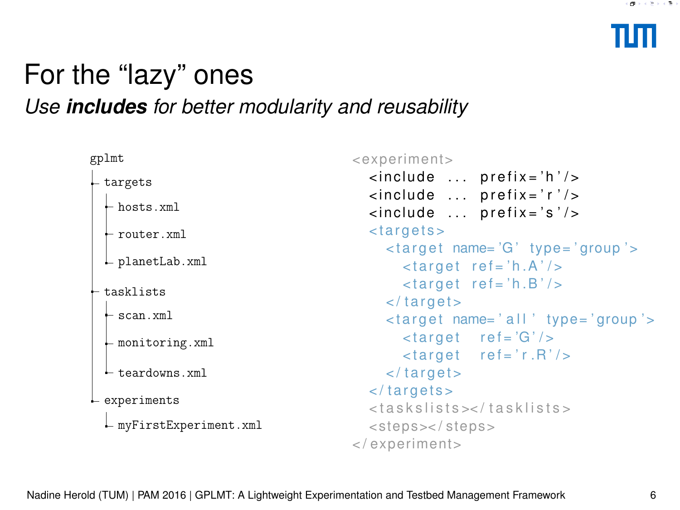### For the "lazy" ones *Use includes for better modularity and reusability*

| gplmt                                             | <experiment></experiment>                                                                                            |
|---------------------------------------------------|----------------------------------------------------------------------------------------------------------------------|
| - targets                                         | $\langle$ include  prefix = 'h' />                                                                                   |
| $-$ hosts.xml                                     | <include prefix="r"></include><br><include prefix="s"></include>                                                     |
| $\vdash$ router. xml                              | <targets></targets>                                                                                                  |
| $\vdash$ planetLab. xml                           | <target name="G" type="group"><br/><math>\langle target \space ref = 'h.A' \rangle</math></target>                   |
| - tasklists                                       | $\langle target \space ref = 'h.B'/\rangle$<br>$\langle \rangle$ target                                              |
| $\vdash$ scan.xml                                 | <target name="all" type="group"></target>                                                                            |
| $\vdash$ monitoring. xml                          | $\langle target \rangle$ ref='G'/><br>$\langle target \space ref = 'r.R' \rangle$                                    |
| $\vdash$ teardowns.xml                            | $\langle \rangle$ target $>$                                                                                         |
| $L$ experiments<br>$\vdash$ myFirstExperiment.xml | $\langle \rangle$ targets $>$<br><taskslists><br/><math>&lt;</math>steps&gt;<math>&lt;</math>/steps&gt;</taskslists> |
|                                                   | $\langle$ /experiment>                                                                                               |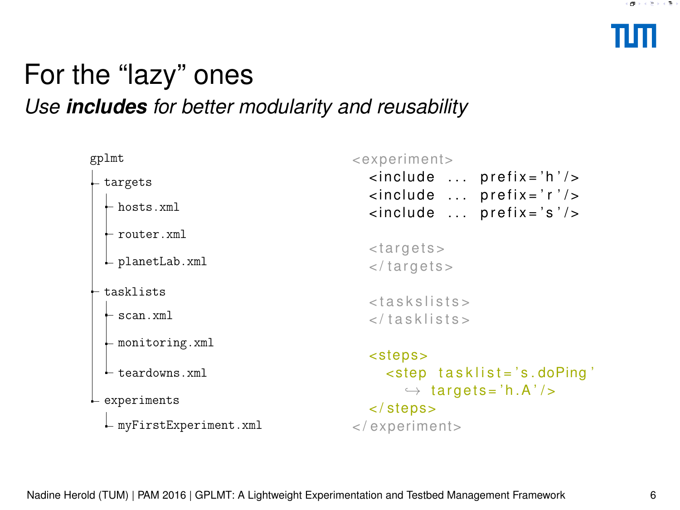### For the "lazy" ones *Use includes for better modularity and reusability*

| gplmt                          | <experiment></experiment>                                                      |
|--------------------------------|--------------------------------------------------------------------------------|
| targets                        | $\langle$ include  prefix = 'h' /><br><include prefix="r"></include>           |
| - hosts.xml                    | $\langle$ include  prefix='s'/>                                                |
| $\vdash$ router.xml            |                                                                                |
| - planetLab.xml                | <targets><br/><math>\langle \rangle</math> targets <math>&gt;</math></targets> |
| tasklists                      | $<$ taskslists>                                                                |
| $\vdash$ scan.xml              |                                                                                |
| $\vdash$ monitoring. xml       |                                                                                |
| $\vdash$ teardowns.xml         | <steps><br/><math>\le</math>step tasklist='s.doPing'</steps>                   |
| $L$ experiments                | $\rightarrow$ targets='h.A'/><br>$\langle$ steps $>$                           |
| $\vdash$ myFirstExperiment.xml | $\langle$ /experiment>                                                         |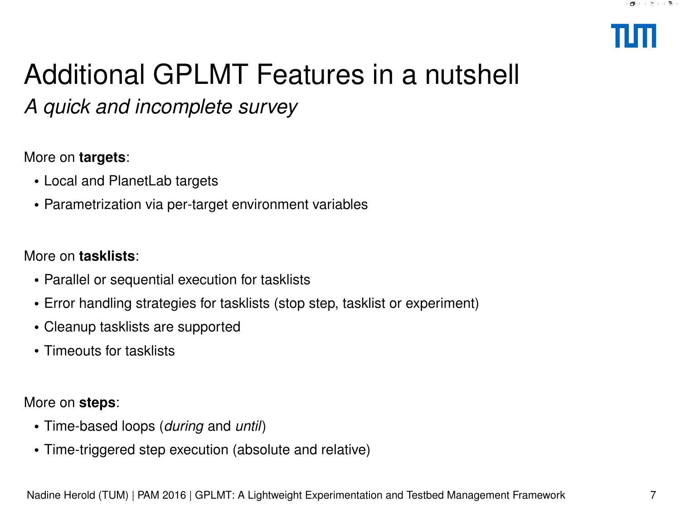

# Additional GPLMT Features in a nutshell

*A quick and incomplete survey*

### More on **targets**:

- Local and PlanetLab targets
- Parametrization via per-target environment variables

### More on **tasklists**:

- Parallel or sequential execution for tasklists
- Error handling strategies for tasklists (stop step, tasklist or experiment)
- Cleanup tasklists are supported
- Timeouts for tasklists

More on **steps**:

- Time-based loops (*during* and *until*)
- Time-triggered step execution (absolute and relative)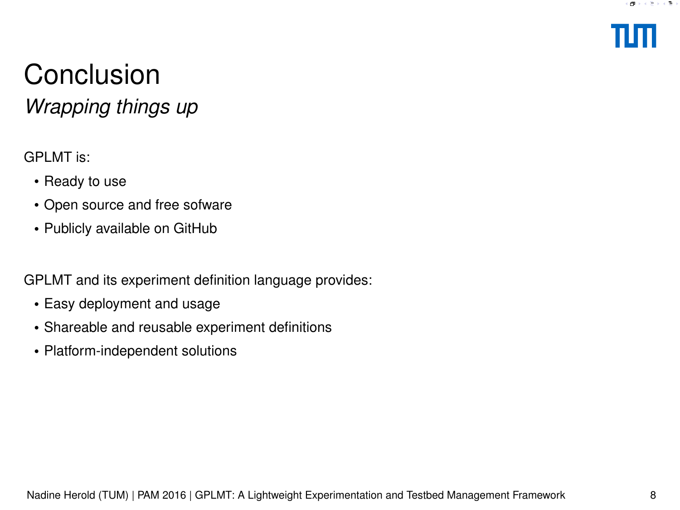

# **Conclusion**

*Wrapping things up*

GPLMT is:

- Ready to use
- Open source and free sofware
- Publicly available on GitHub

GPLMT and its experiment definition language provides:

- Easy deployment and usage
- Shareable and reusable experiment definitions
- Platform-independent solutions